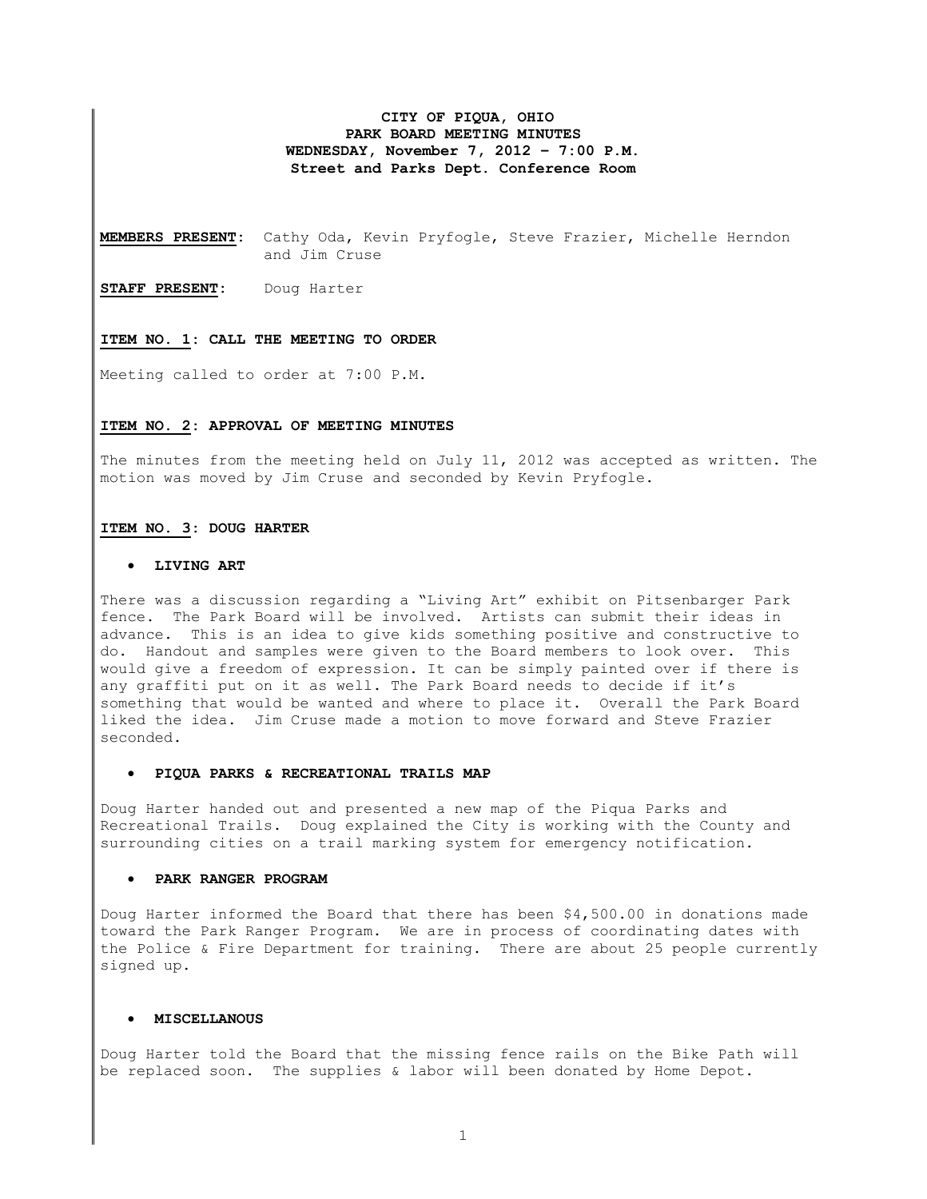# **CITY OF PIQUA, OHIO PARK BOARD MEETING MINUTES WEDNESDAY, November 7, 2012 – 7:00 P.M. Street and Parks Dept. Conference Room**

**MEMBERS PRESENT:** Cathy Oda, Kevin Pryfogle, Steve Frazier, Michelle Herndon and Jim Cruse

**STAFF PRESENT:** Doug Harter

#### **ITEM NO. 1: CALL THE MEETING TO ORDER**

Meeting called to order at 7:00 P.M.

## **ITEM NO. 2: APPROVAL OF MEETING MINUTES**

The minutes from the meeting held on July 11, 2012 was accepted as written. The motion was moved by Jim Cruse and seconded by Kevin Pryfogle.

#### **ITEM NO. 3: DOUG HARTER**

### • **LIVING ART**

There was a discussion regarding a "Living Art" exhibit on Pitsenbarger Park fence. The Park Board will be involved. Artists can submit their ideas in advance. This is an idea to give kids something positive and constructive to do. Handout and samples were given to the Board members to look over. This would give a freedom of expression. It can be simply painted over if there is any graffiti put on it as well. The Park Board needs to decide if it's something that would be wanted and where to place it. Overall the Park Board liked the idea. Jim Cruse made a motion to move forward and Steve Frazier seconded.

# • **PIQUA PARKS & RECREATIONAL TRAILS MAP**

Doug Harter handed out and presented a new map of the Piqua Parks and Recreational Trails. Doug explained the City is working with the County and surrounding cities on a trail marking system for emergency notification.

#### • **PARK RANGER PROGRAM**

Doug Harter informed the Board that there has been \$4,500.00 in donations made toward the Park Ranger Program. We are in process of coordinating dates with the Police & Fire Department for training. There are about 25 people currently signed up.

#### • **MISCELLANOUS**

Doug Harter told the Board that the missing fence rails on the Bike Path will be replaced soon. The supplies & labor will been donated by Home Depot.